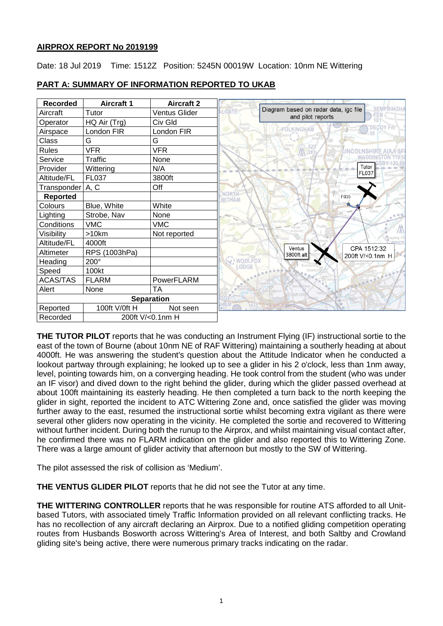## **AIRPROX REPORT No 2019199**

Date: 18 Jul 2019 Time: 1512Z Position: 5245N 00019W Location: 10nm NE Wittering

| <b>Recorded</b>    | <b>Aircraft 1</b> | <b>Aircraft 2</b>    |                                                                                                        |
|--------------------|-------------------|----------------------|--------------------------------------------------------------------------------------------------------|
| Aircraft           | Tutor             | <b>Ventus Glider</b> | Diagram based on radar data, igc file<br><b>SEMPRINGH</b><br><b>ALGATE</b><br>FEN<br>and pilot reports |
| Operator           | HQ Air (Trg)      | Civ Gld              | <b>DECOY Fm</b>                                                                                        |
| Airspace           | London FIR        | London FIR           | FOLKINGHAM                                                                                             |
| Class              | G                 | G                    |                                                                                                        |
| <b>Rules</b>       | <b>VFR</b>        | <b>VFR</b>           | Bitchfield                                                                                             |
| Service            | Traffic           | None                 |                                                                                                        |
| Provider           | Wittering         | N/A                  | Tutor<br><b>FL037</b>                                                                                  |
| Altitude/FL        | FL037             | 3800ft               |                                                                                                        |
| Transponder   A, C |                   | Off                  |                                                                                                        |
| Reported           |                   |                      | <b>NORT!</b><br>F035<br>WITHAM                                                                         |
| Colours            | Blue, White       | White                |                                                                                                        |
| Lighting           | Strobe, Nav       | None                 | $\circ$                                                                                                |
| Conditions         | <b>VMC</b>        | <b>VMC</b>           |                                                                                                        |
| Visibility         | >10km             | Not reported         |                                                                                                        |
| Altitude/FL        | 4000ft            |                      |                                                                                                        |
| Altimeter          | RPS (1003hPa)     |                      | CPA 1512:32<br>Ventus<br>3800ft alt<br>200ft V/<0.1nm H                                                |
| Heading            | $200^\circ$       |                      | V! WOOLFOX<br>LØDGE                                                                                    |
| Speed              | 100kt             |                      |                                                                                                        |
| <b>ACAS/TAS</b>    | <b>FLARM</b>      | PowerFLARM           |                                                                                                        |
| Alert              | None              | TA                   |                                                                                                        |
|                    |                   | <b>Separation</b>    |                                                                                                        |
| Reported           | 100ft V/0ft H     | Not seen             |                                                                                                        |
| Recorded           | 200ft V/<0.1nm H  |                      |                                                                                                        |

## **PART A: SUMMARY OF INFORMATION REPORTED TO UKAB**

**THE TUTOR PILOT** reports that he was conducting an Instrument Flying (IF) instructional sortie to the east of the town of Bourne (about 10nm NE of RAF Wittering) maintaining a southerly heading at about 4000ft. He was answering the student's question about the Attitude Indicator when he conducted a lookout partway through explaining; he looked up to see a glider in his 2 o'clock, less than 1nm away, level, pointing towards him, on a converging heading. He took control from the student (who was under an IF visor) and dived down to the right behind the glider, during which the glider passed overhead at about 100ft maintaining its easterly heading. He then completed a turn back to the north keeping the glider in sight, reported the incident to ATC Wittering Zone and, once satisfied the glider was moving further away to the east, resumed the instructional sortie whilst becoming extra vigilant as there were several other gliders now operating in the vicinity. He completed the sortie and recovered to Wittering without further incident. During both the runup to the Airprox, and whilst maintaining visual contact after, he confirmed there was no FLARM indication on the glider and also reported this to Wittering Zone. There was a large amount of glider activity that afternoon but mostly to the SW of Wittering.

The pilot assessed the risk of collision as 'Medium'.

**THE VENTUS GLIDER PILOT** reports that he did not see the Tutor at any time.

**THE WITTERING CONTROLLER** reports that he was responsible for routine ATS afforded to all Unitbased Tutors, with associated timely Traffic Information provided on all relevant conflicting tracks. He has no recollection of any aircraft declaring an Airprox. Due to a notified gliding competition operating routes from Husbands Bosworth across Wittering's Area of Interest, and both Saltby and Crowland gliding site's being active, there were numerous primary tracks indicating on the radar.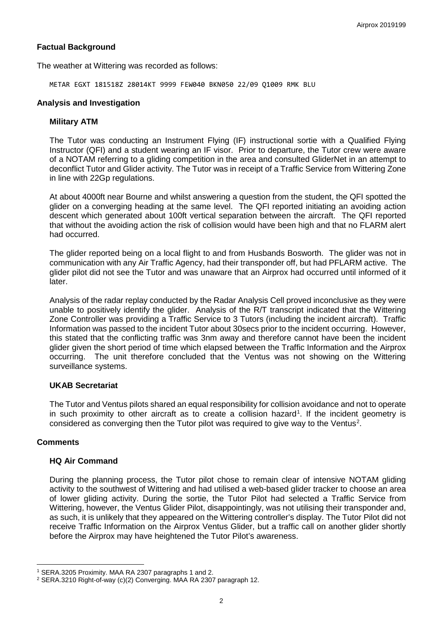## **Factual Background**

The weather at Wittering was recorded as follows:

METAR EGXT 181518Z 28014KT 9999 FEW040 BKN050 22/09 Q1009 RMK BLU

### **Analysis and Investigation**

### **Military ATM**

The Tutor was conducting an Instrument Flying (IF) instructional sortie with a Qualified Flying Instructor (QFI) and a student wearing an IF visor. Prior to departure, the Tutor crew were aware of a NOTAM referring to a gliding competition in the area and consulted GliderNet in an attempt to deconflict Tutor and Glider activity. The Tutor was in receipt of a Traffic Service from Wittering Zone in line with 22Gp regulations.

At about 4000ft near Bourne and whilst answering a question from the student, the QFI spotted the glider on a converging heading at the same level. The QFI reported initiating an avoiding action descent which generated about 100ft vertical separation between the aircraft. The QFI reported that without the avoiding action the risk of collision would have been high and that no FLARM alert had occurred.

The glider reported being on a local flight to and from Husbands Bosworth. The glider was not in communication with any Air Traffic Agency, had their transponder off, but had PFLARM active. The glider pilot did not see the Tutor and was unaware that an Airprox had occurred until informed of it later.

Analysis of the radar replay conducted by the Radar Analysis Cell proved inconclusive as they were unable to positively identify the glider. Analysis of the R/T transcript indicated that the Wittering Zone Controller was providing a Traffic Service to 3 Tutors (including the incident aircraft). Traffic Information was passed to the incident Tutor about 30secs prior to the incident occurring. However, this stated that the conflicting traffic was 3nm away and therefore cannot have been the incident glider given the short period of time which elapsed between the Traffic Information and the Airprox occurring. The unit therefore concluded that the Ventus was not showing on the Wittering surveillance systems.

## **UKAB Secretariat**

The Tutor and Ventus pilots shared an equal responsibility for collision avoidance and not to operate in such proximity to other aircraft as to create a collision hazard<sup>[1](#page-1-0)</sup>. If the incident geometry is considered as converging then the Tutor pilot was required to give way to the Ventus<sup>[2](#page-1-1)</sup>.

## **Comments**

 $\overline{\phantom{a}}$ 

#### **HQ Air Command**

During the planning process, the Tutor pilot chose to remain clear of intensive NOTAM gliding activity to the southwest of Wittering and had utilised a web-based glider tracker to choose an area of lower gliding activity. During the sortie, the Tutor Pilot had selected a Traffic Service from Wittering, however, the Ventus Glider Pilot, disappointingly, was not utilising their transponder and, as such, it is unlikely that they appeared on the Wittering controller's display. The Tutor Pilot did not receive Traffic Information on the Airprox Ventus Glider, but a traffic call on another glider shortly before the Airprox may have heightened the Tutor Pilot's awareness.

<span id="page-1-0"></span><sup>1</sup> SERA.3205 Proximity. MAA RA 2307 paragraphs 1 and 2.

<span id="page-1-1"></span><sup>2</sup> SERA.3210 Right-of-way (c)(2) Converging. MAA RA 2307 paragraph 12.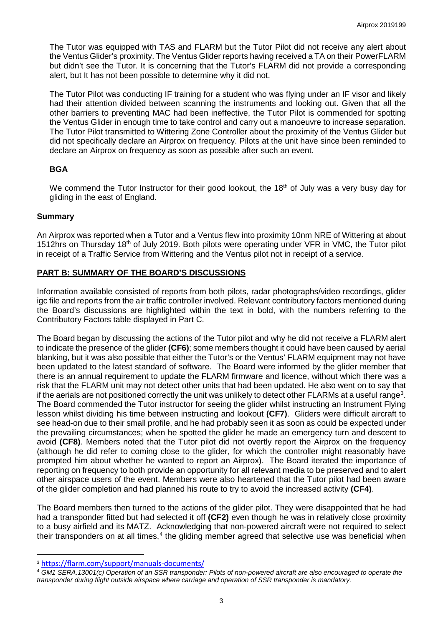The Tutor was equipped with TAS and FLARM but the Tutor Pilot did not receive any alert about the Ventus Glider's proximity. The Ventus Glider reports having received a TA on their PowerFLARM but didn't see the Tutor. It is concerning that the Tutor's FLARM did not provide a corresponding alert, but It has not been possible to determine why it did not.

The Tutor Pilot was conducting IF training for a student who was flying under an IF visor and likely had their attention divided between scanning the instruments and looking out. Given that all the other barriers to preventing MAC had been ineffective, the Tutor Pilot is commended for spotting the Ventus Glider in enough time to take control and carry out a manoeuvre to increase separation. The Tutor Pilot transmitted to Wittering Zone Controller about the proximity of the Ventus Glider but did not specifically declare an Airprox on frequency. Pilots at the unit have since been reminded to declare an Airprox on frequency as soon as possible after such an event.

# **BGA**

We commend the Tutor Instructor for their good lookout, the 18<sup>th</sup> of July was a very busy day for gliding in the east of England.

# **Summary**

An Airprox was reported when a Tutor and a Ventus flew into proximity 10nm NRE of Wittering at about 1512hrs on Thursday 18th of July 2019. Both pilots were operating under VFR in VMC, the Tutor pilot in receipt of a Traffic Service from Wittering and the Ventus pilot not in receipt of a service.

# **PART B: SUMMARY OF THE BOARD'S DISCUSSIONS**

Information available consisted of reports from both pilots, radar photographs/video recordings, glider igc file and reports from the air traffic controller involved. Relevant contributory factors mentioned during the Board's discussions are highlighted within the text in bold, with the numbers referring to the Contributory Factors table displayed in Part C.

The Board began by discussing the actions of the Tutor pilot and why he did not receive a FLARM alert to indicate the presence of the glider **(CF6)**; some members thought it could have been caused by aerial blanking, but it was also possible that either the Tutor's or the Ventus' FLARM equipment may not have been updated to the latest standard of software. The Board were informed by the glider member that there is an annual requirement to update the FLARM firmware and licence, without which there was a risk that the FLARM unit may not detect other units that had been updated. He also went on to say that if the aerials are not positioned correctly the unit was unlikely to detect other FLARMs at a useful range<sup>[3](#page-2-0)</sup>. The Board commended the Tutor instructor for seeing the glider whilst instructing an Instrument Flying lesson whilst dividing his time between instructing and lookout **(CF7)**.Gliders were difficult aircraft to see head-on due to their small profile, and he had probably seen it as soon as could be expected under the prevailing circumstances; when he spotted the glider he made an emergency turn and descent to avoid **(CF8)**. Members noted that the Tutor pilot did not overtly report the Airprox on the frequency (although he did refer to coming close to the glider, for which the controller might reasonably have prompted him about whether he wanted to report an Airprox). The Board iterated the importance of reporting on frequency to both provide an opportunity for all relevant media to be preserved and to alert other airspace users of the event. Members were also heartened that the Tutor pilot had been aware of the glider completion and had planned his route to try to avoid the increased activity **(CF4)**.

The Board members then turned to the actions of the glider pilot. They were disappointed that he had had a transponder fitted but had selected it off **(CF2)** even though he was in relatively close proximity to a busy airfield and its MATZ. Acknowledging that non-powered aircraft were not required to select their transponders on at all times, $4$  the gliding member agreed that selective use was beneficial when

 $\overline{\phantom{a}}$ 

<span id="page-2-0"></span><sup>3</sup> <https://flarm.com/support/manuals-documents/>

<span id="page-2-1"></span><sup>4</sup> *GM1 SERA.13001(c) Operation of an SSR transponder: Pilots of non-powered aircraft are also encouraged to operate the transponder during flight outside airspace where carriage and operation of SSR transponder is mandatory.*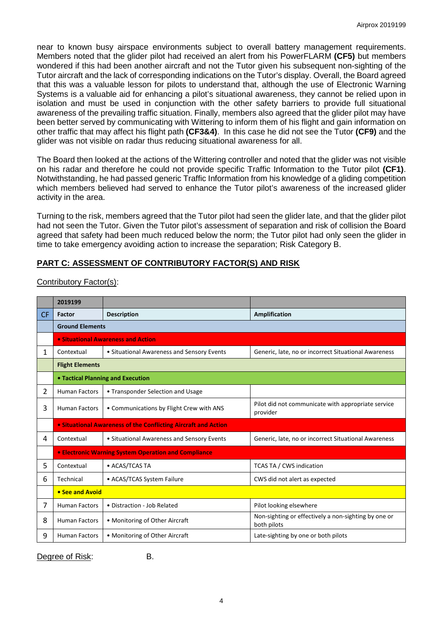near to known busy airspace environments subject to overall battery management requirements. Members noted that the glider pilot had received an alert from his PowerFLARM **(CF5)** but members wondered if this had been another aircraft and not the Tutor given his subsequent non-sighting of the Tutor aircraft and the lack of corresponding indications on the Tutor's display. Overall, the Board agreed that this was a valuable lesson for pilots to understand that, although the use of Electronic Warning Systems is a valuable aid for enhancing a pilot's situational awareness, they cannot be relied upon in isolation and must be used in conjunction with the other safety barriers to provide full situational awareness of the prevailing traffic situation. Finally, members also agreed that the glider pilot may have been better served by communicating with Wittering to inform them of his flight and gain information on other traffic that may affect his flight path **(CF3&4)**. In this case he did not see the Tutor **(CF9)** and the glider was not visible on radar thus reducing situational awareness for all.

The Board then looked at the actions of the Wittering controller and noted that the glider was not visible on his radar and therefore he could not provide specific Traffic Information to the Tutor pilot **(CF1)**. Notwithstanding, he had passed generic Traffic Information from his knowledge of a gliding competition which members believed had served to enhance the Tutor pilot's awareness of the increased glider activity in the area.

Turning to the risk, members agreed that the Tutor pilot had seen the glider late, and that the glider pilot had not seen the Tutor. Given the Tutor pilot's assessment of separation and risk of collision the Board agreed that safety had been much reduced below the norm; the Tutor pilot had only seen the glider in time to take emergency avoiding action to increase the separation; Risk Category B.

# **PART C: ASSESSMENT OF CONTRIBUTORY FACTOR(S) AND RISK**

|           | 2019199                                                        |                                            |                                                                     |  |  |  |
|-----------|----------------------------------------------------------------|--------------------------------------------|---------------------------------------------------------------------|--|--|--|
| <b>CF</b> | Factor                                                         | <b>Description</b>                         | Amplification                                                       |  |  |  |
|           | <b>Ground Elements</b>                                         |                                            |                                                                     |  |  |  |
|           | • Situational Awareness and Action                             |                                            |                                                                     |  |  |  |
| 1         | Contextual                                                     | • Situational Awareness and Sensory Events | Generic, late, no or incorrect Situational Awareness                |  |  |  |
|           | <b>Flight Elements</b>                                         |                                            |                                                                     |  |  |  |
|           | • Tactical Planning and Execution                              |                                            |                                                                     |  |  |  |
| 2         | <b>Human Factors</b>                                           | • Transponder Selection and Usage          |                                                                     |  |  |  |
| 3         | <b>Human Factors</b>                                           | • Communications by Flight Crew with ANS   | Pilot did not communicate with appropriate service<br>provider      |  |  |  |
|           | • Situational Awareness of the Conflicting Aircraft and Action |                                            |                                                                     |  |  |  |
| 4         | Contextual                                                     | • Situational Awareness and Sensory Events | Generic, late, no or incorrect Situational Awareness                |  |  |  |
|           | • Electronic Warning System Operation and Compliance           |                                            |                                                                     |  |  |  |
| 5         | Contextual                                                     | • ACAS/TCAS TA                             | <b>TCAS TA / CWS indication</b>                                     |  |  |  |
| 6         | Technical                                                      | • ACAS/TCAS System Failure                 | CWS did not alert as expected                                       |  |  |  |
|           | • See and Avoid                                                |                                            |                                                                     |  |  |  |
| 7         | <b>Human Factors</b>                                           | • Distraction - Job Related                | Pilot looking elsewhere                                             |  |  |  |
| 8         | <b>Human Factors</b>                                           | • Monitoring of Other Aircraft             | Non-sighting or effectively a non-sighting by one or<br>both pilots |  |  |  |
| 9         | <b>Human Factors</b>                                           | • Monitoring of Other Aircraft             | Late-sighting by one or both pilots                                 |  |  |  |

Contributory Factor(s):

Degree of Risk: B.